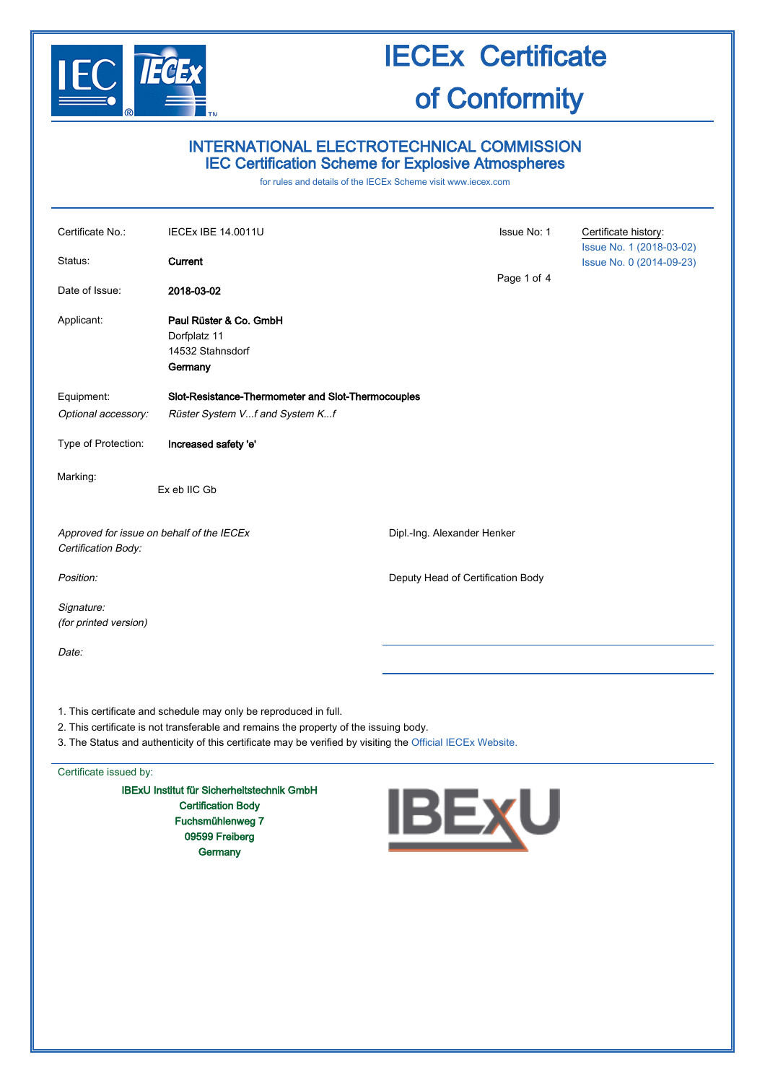

### INTERNATIONAL ELECTROTECHNICAL COMMISSION IEC Certification Scheme for Explosive Atmospheres

for rules and details of the IECEx Scheme visit [www.iecex.com](http://www.iecex.com/)

| Certificate No.:<br>Status:<br>Date of Issue:                    | <b>IECEx IBE 14.0011U</b><br>Current<br>2018-03-02                    | Issue No: 1<br>Page 1 of 4        | Certificate history:<br>Issue No. 1 (2018-03-02)<br>Issue No. 0 (2014-09-23) |
|------------------------------------------------------------------|-----------------------------------------------------------------------|-----------------------------------|------------------------------------------------------------------------------|
| Applicant:                                                       | Paul Rüster & Co. GmbH<br>Dorfplatz 11<br>14532 Stahnsdorf<br>Germany |                                   |                                                                              |
| Equipment:                                                       | Slot-Resistance-Thermometer and Slot-Thermocouples                    |                                   |                                                                              |
| Optional accessory:                                              | Rüster System Vf and System Kf                                        |                                   |                                                                              |
| Type of Protection:                                              | Increased safety 'e'                                                  |                                   |                                                                              |
| Marking:                                                         | Ex eb IIC Gb                                                          |                                   |                                                                              |
| Approved for issue on behalf of the IECEx<br>Certification Body: |                                                                       | Dipl.-Ing. Alexander Henker       |                                                                              |
| Position:                                                        |                                                                       | Deputy Head of Certification Body |                                                                              |
| Signature:<br>(for printed version)                              |                                                                       |                                   |                                                                              |
| Date:                                                            |                                                                       |                                   |                                                                              |
|                                                                  |                                                                       |                                   |                                                                              |

1. This certificate and schedule may only be reproduced in full.

- 2. This certificate is not transferable and remains the property of the issuing body.
- 3. The Status and authenticity of this certificate may be verified by visiting the [Official IECEx Website.](http://iecex.iec.ch/)

#### Certificate issued by:

IBExU Institut für Sicherheitstechnik GmbH Certification Body Fuchsmühlenweg 7 09599 Freiberg **Germany** 

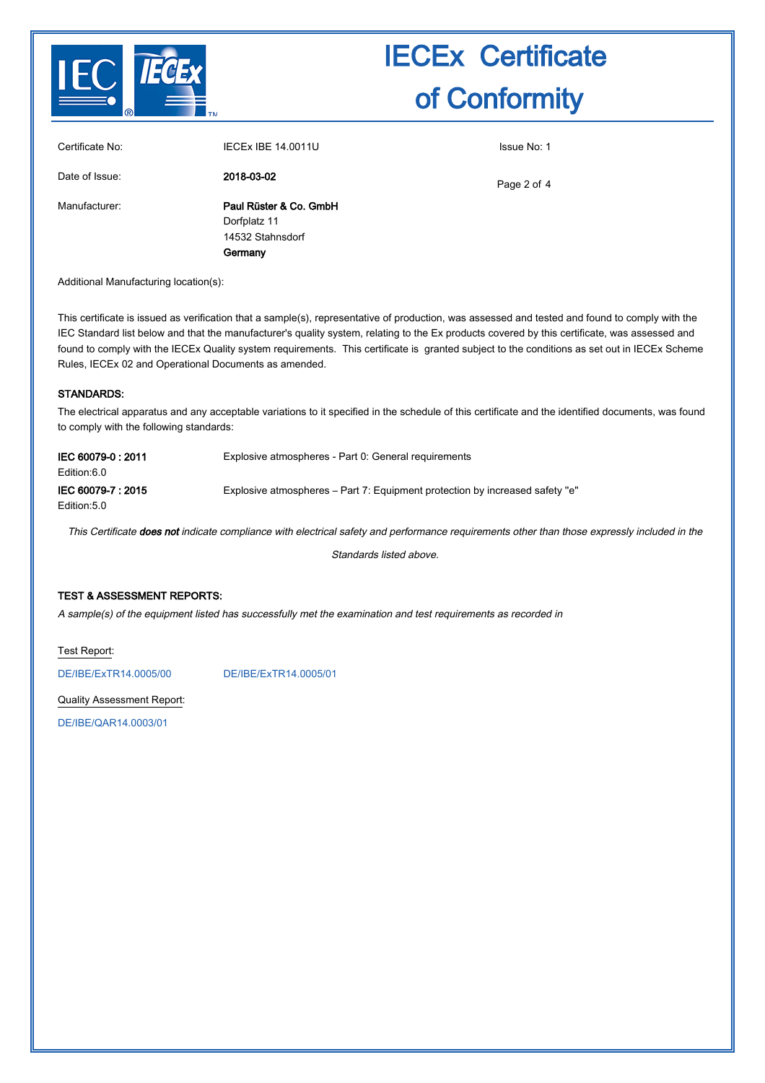

|                 | Germany                   |             |
|-----------------|---------------------------|-------------|
|                 | 14532 Stahnsdorf          |             |
|                 | Dorfplatz 11              |             |
| Manufacturer:   | Paul Rüster & Co. GmbH    |             |
| Date of Issue:  | 2018-03-02                | Page 2 of 4 |
| Certificate No: | <b>IECEX IBE 14.0011U</b> | Issue No: 1 |

Additional Manufacturing location(s):

This certificate is issued as verification that a sample(s), representative of production, was assessed and tested and found to comply with the IEC Standard list below and that the manufacturer's quality system, relating to the Ex products covered by this certificate, was assessed and found to comply with the IECEx Quality system requirements. This certificate is granted subject to the conditions as set out in IECEx Scheme Rules, IECEx 02 and Operational Documents as amended.

### STANDARDS:

The electrical apparatus and any acceptable variations to it specified in the schedule of this certificate and the identified documents, was found to comply with the following standards:

| IEC 60079-0 : 2011<br>Edition:6.0 | Explosive atmospheres - Part 0: General requirements                         |
|-----------------------------------|------------------------------------------------------------------------------|
| IEC 60079-7: 2015<br>Edition:5.0  | Explosive atmospheres – Part 7: Equipment protection by increased safety "e" |

This Certificate does not indicate compliance with electrical safety and performance requirements other than those expressly included in the

Standards listed above.

#### TEST & ASSESSMENT REPORTS:

A sample(s) of the equipment listed has successfully met the examination and test requirements as recorded in

Test Report:

[DE/IBE/ExTR14.0005/00](http://iecex.iec.ch/extr/DE.IBE.ExTR14.0005.00) [DE/IBE/ExTR14.0005/01](http://iecex.iec.ch/extr/DE.IBE.ExTR14.0005.01)

Quality Assessment Report:

[DE/IBE/QAR14.0003/01](http://iecex.iec.ch/qar/DE.IBE.QAR14.0003.01)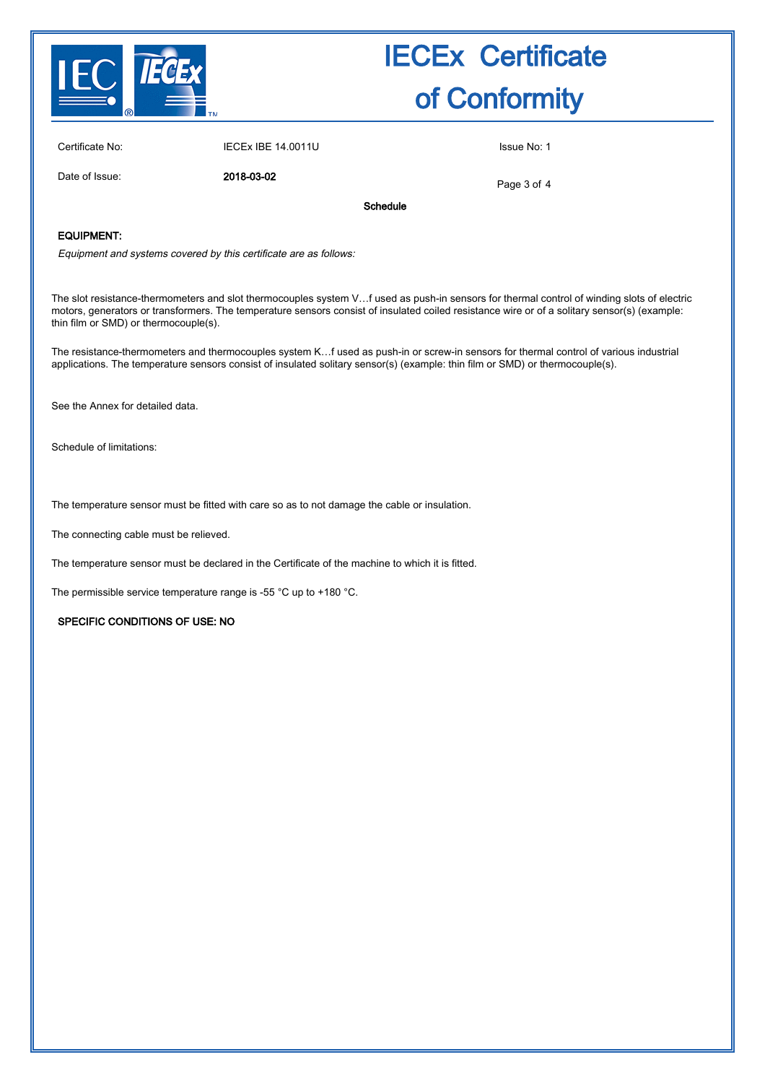

Certificate No: IECEX IBE 14.0011U ISSUE No: 1

Date of Issue: 2018-03-02

Page 3 of 4

Schedule

### EQUIPMENT:

Equipment and systems covered by this certificate are as follows:

The slot resistance-thermometers and slot thermocouples system V…f used as push-in sensors for thermal control of winding slots of electric motors, generators or transformers. The temperature sensors consist of insulated coiled resistance wire or of a solitary sensor(s) (example: thin film or SMD) or thermocouple(s).

The resistance-thermometers and thermocouples system K…f used as push-in or screw-in sensors for thermal control of various industrial applications. The temperature sensors consist of insulated solitary sensor(s) (example: thin film or SMD) or thermocouple(s).

See the Annex for detailed data.

Schedule of limitations:

The temperature sensor must be fitted with care so as to not damage the cable or insulation.

The connecting cable must be relieved.

The temperature sensor must be declared in the Certificate of the machine to which it is fitted.

The permissible service temperature range is -55 °C up to +180 °C.

#### SPECIFIC CONDITIONS OF USE: NO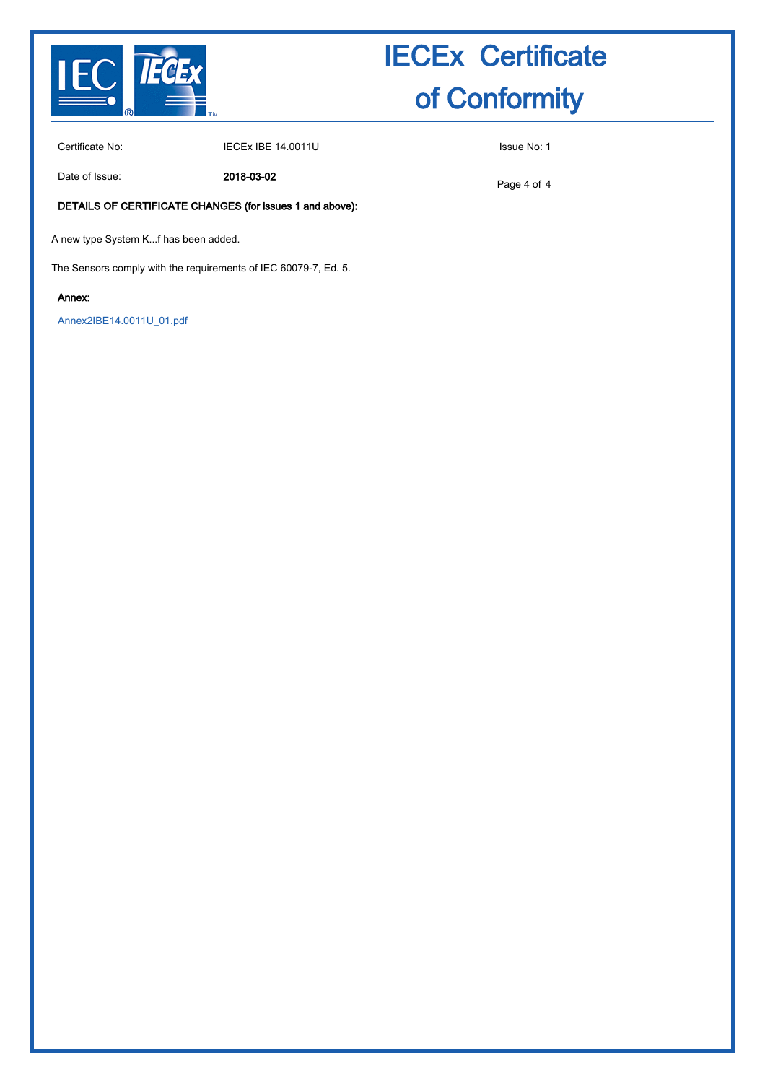

Certificate No: **IECEX IBE 14.0011U** ISSUE No: 1

Date of Issue: 2018-03-02

Page 4 of 4

### DETAILS OF CERTIFICATE CHANGES (for issues 1 and above):

A new type System K...f has been added.

The Sensors comply with the requirements of IEC 60079-7, Ed. 5.

### Annex:

[Annex2IBE14.0011U\\_01.pdf](http://iecex.iec.ch/cert/IECExIBE14.0011U1/$File/Annex2IBE14.0011U_01.pdf)